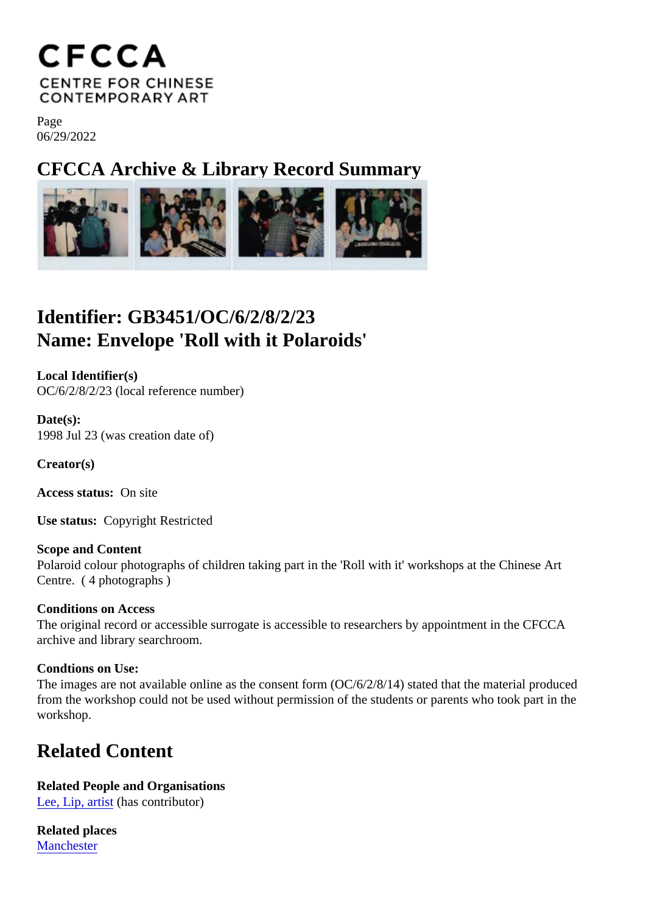Page 06/29/2022

CFCCA Archive & Library Record Summary

## Identifier: GB3451/OC/6/2/8/2/23 Name: Envelope 'Roll with it Polaroids'

Local Identifier(s) OC/6/2/8/2/23 (local reference number)

Date(s): 1998 Jul 23 (was creation date of)

Creator(s)

Access status: On site

Use status: Copyright Restricted

Scope and Content Polaroid colour photographs of children taking part in the 'Roll with it' workshops at the Chinese Art Centre. ( 4 photographs )

Conditions on Access The original record or accessible surrogate is accessible to researchers by appointment in the CFCCA archive and library searchroom.

Condtions on Use:

The images are not available online as the consent form (OC/6/2/8/14) stated that the material produced from the workshop could not be used without permission of the students or parents who took part in the workshop.

## Related Content

Related People and Organisations [Lee, Lip, artis](/index.php/Detail/entities/54)t(has contributor)

Related places **[Mancheste](/index.php/Detail/places/5)r**